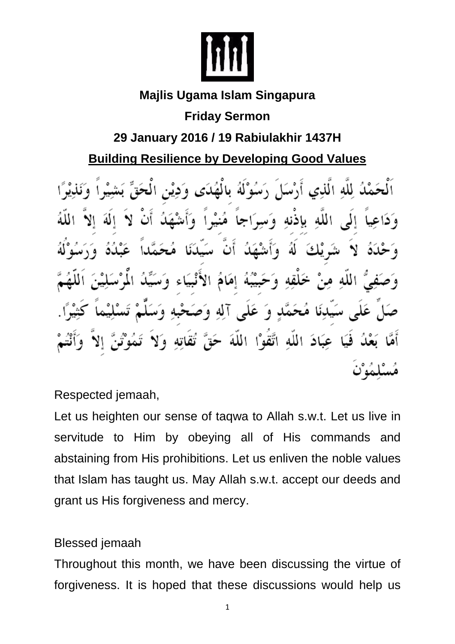

## **Majlis Ugama Islam Singapura**

# **Friday Sermon**

# **29 January 2016 / 19 Rabiulakhir 1437H**

## **Building Resilience by Developing Good Values**

َ لِلَّهِ الَّذِي أَرْسَلَ رَسُوْلَهُ بِالْهُدَى وَدِيْنِ الْحَقِّ مُنيْداً وَأَ أجا الله بإذنه و َس اهام الا بِ وَ عَلَى آلِهِ وَصَحْبِهِ وَ فَيَا عِبَادَ اللَّهِ اتَّقَوْا اللَّهَ حَقَّ تقاته Ą

Respected jemaah,

Let us heighten our sense of taqwa to Allah s.w.t. Let us live in servitude to Him by obeying all of His commands and abstaining from His prohibitions. Let us enliven the noble values that Islam has taught us. May Allah s.w.t. accept our deeds and grant us His forgiveness and mercy.

## Blessed jemaah

Throughout this month, we have been discussing the virtue of forgiveness. It is hoped that these discussions would help us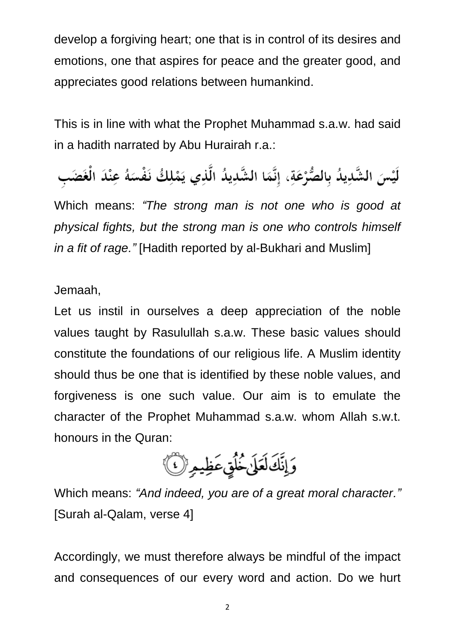develop a forgiving heart; one that is in control of its desires and emotions, one that aspires for peace and the greater good, and appreciates good relations between humankind.

This is in line with what the Prophet Muhammad s.a.w. had said in a hadith narrated by Abu Hurairah r.a.:

لَيْسَ الشَّدِيدُ بِالصُّرْعَةِ، إنَّمَا الشَّدِيدُ الَّذِي يَمْلِكُ نَفْسَهُ عِنْدَ الْغَضَبِ

Which means: *"The strong man is not one who is good at physical fights, but the strong man is one who controls himself in a fit of rage."* [Hadith reported by al-Bukhari and Muslim]

Jemaah,

Let us instil in ourselves a deep appreciation of the noble values taught by Rasulullah s.a.w. These basic values should constitute the foundations of our religious life. A Muslim identity should thus be one that is identified by these noble values, and forgiveness is one such value. Our aim is to emulate the character of the Prophet Muhammad s.a.w. whom Allah s.w.t. honours in the Quran:

وَإِنَّكَ لَعَلَىٰ خُلُقٍ عَظِيمٍ (١)

Which means: *"And indeed, you are of a great moral character."* [Surah al-Qalam, verse 4]

Accordingly, we must therefore always be mindful of the impact and consequences of our every word and action. Do we hurt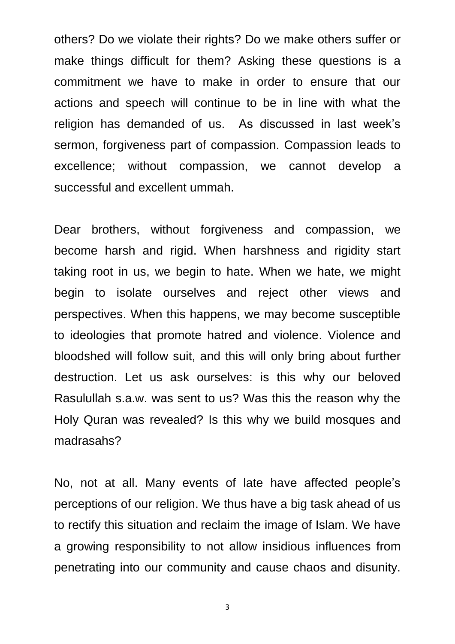others? Do we violate their rights? Do we make others suffer or make things difficult for them? Asking these questions is a commitment we have to make in order to ensure that our actions and speech will continue to be in line with what the religion has demanded of us. As discussed in last week's sermon, forgiveness part of compassion. Compassion leads to excellence; without compassion, we cannot develop a successful and excellent ummah.

Dear brothers, without forgiveness and compassion, we become harsh and rigid. When harshness and rigidity start taking root in us, we begin to hate. When we hate, we might begin to isolate ourselves and reject other views and perspectives. When this happens, we may become susceptible to ideologies that promote hatred and violence. Violence and bloodshed will follow suit, and this will only bring about further destruction. Let us ask ourselves: is this why our beloved Rasulullah s.a.w. was sent to us? Was this the reason why the Holy Quran was revealed? Is this why we build mosques and madrasahs?

No, not at all. Many events of late have affected people's perceptions of our religion. We thus have a big task ahead of us to rectify this situation and reclaim the image of Islam. We have a growing responsibility to not allow insidious influences from penetrating into our community and cause chaos and disunity.

3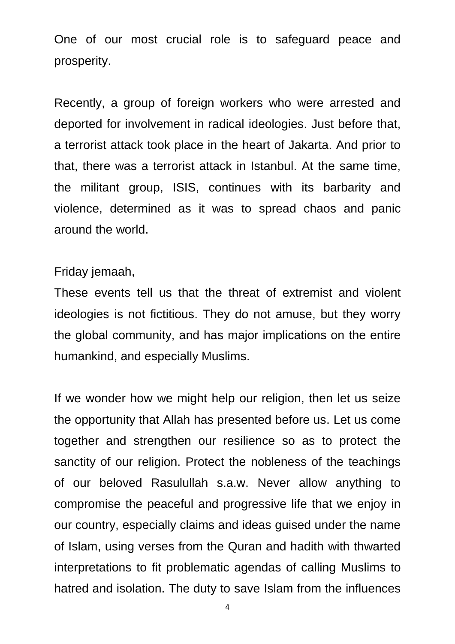One of our most crucial role is to safeguard peace and prosperity.

Recently, a group of foreign workers who were arrested and deported for involvement in radical ideologies. Just before that, a terrorist attack took place in the heart of Jakarta. And prior to that, there was a terrorist attack in Istanbul. At the same time, the militant group, ISIS, continues with its barbarity and violence, determined as it was to spread chaos and panic around the world.

### Friday jemaah,

These events tell us that the threat of extremist and violent ideologies is not fictitious. They do not amuse, but they worry the global community, and has major implications on the entire humankind, and especially Muslims.

If we wonder how we might help our religion, then let us seize the opportunity that Allah has presented before us. Let us come together and strengthen our resilience so as to protect the sanctity of our religion. Protect the nobleness of the teachings of our beloved Rasulullah s.a.w. Never allow anything to compromise the peaceful and progressive life that we enjoy in our country, especially claims and ideas guised under the name of Islam, using verses from the Quran and hadith with thwarted interpretations to fit problematic agendas of calling Muslims to hatred and isolation. The duty to save Islam from the influences

4